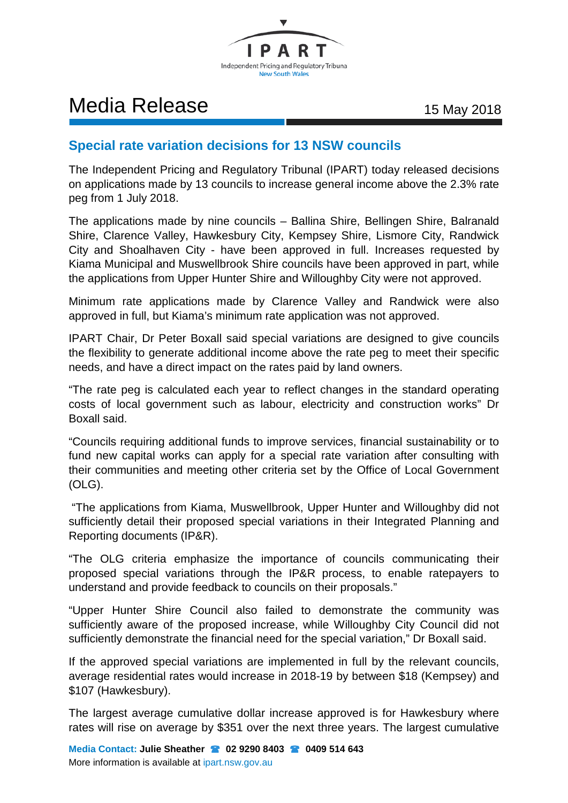

## Media Release 15 May 2018

## **Special rate variation decisions for 13 NSW councils**

The Independent Pricing and Regulatory Tribunal (IPART) today released decisions on applications made by 13 councils to increase general income above the 2.3% rate peg from 1 July 2018.

The applications made by nine councils – Ballina Shire, Bellingen Shire, Balranald Shire, Clarence Valley, Hawkesbury City, Kempsey Shire, Lismore City, Randwick City and Shoalhaven City - have been approved in full. Increases requested by Kiama Municipal and Muswellbrook Shire councils have been approved in part, while the applications from Upper Hunter Shire and Willoughby City were not approved.

Minimum rate applications made by Clarence Valley and Randwick were also approved in full, but Kiama's minimum rate application was not approved.

IPART Chair, Dr Peter Boxall said special variations are designed to give councils the flexibility to generate additional income above the rate peg to meet their specific needs, and have a direct impact on the rates paid by land owners.

"The rate peg is calculated each year to reflect changes in the standard operating costs of local government such as labour, electricity and construction works" Dr Boxall said.

"Councils requiring additional funds to improve services, financial sustainability or to fund new capital works can apply for a special rate variation after consulting with their communities and meeting other criteria set by the Office of Local Government (OLG).

"The applications from Kiama, Muswellbrook, Upper Hunter and Willoughby did not sufficiently detail their proposed special variations in their Integrated Planning and Reporting documents (IP&R).

"The OLG criteria emphasize the importance of councils communicating their proposed special variations through the IP&R process, to enable ratepayers to understand and provide feedback to councils on their proposals."

"Upper Hunter Shire Council also failed to demonstrate the community was sufficiently aware of the proposed increase, while Willoughby City Council did not sufficiently demonstrate the financial need for the special variation," Dr Boxall said.

If the approved special variations are implemented in full by the relevant councils, average residential rates would increase in 2018-19 by between \$18 (Kempsey) and \$107 (Hawkesbury).

The largest average cumulative dollar increase approved is for Hawkesbury where rates will rise on average by \$351 over the next three years. The largest cumulative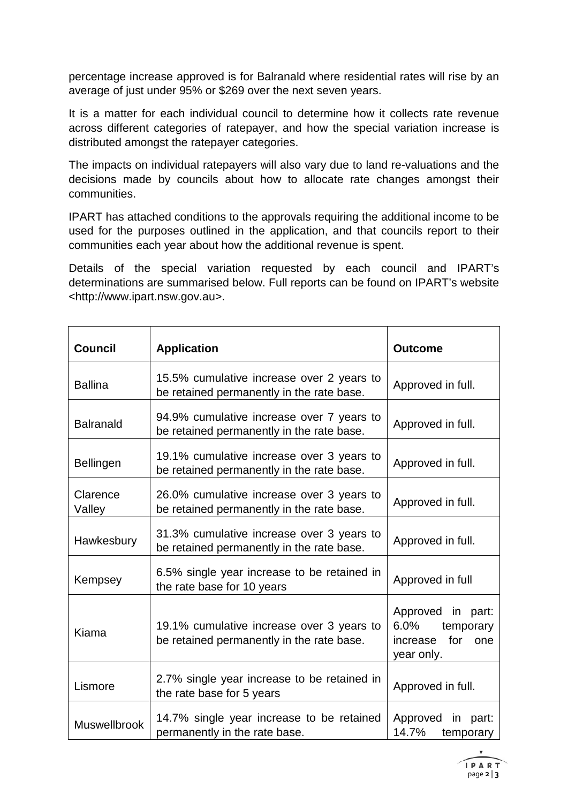percentage increase approved is for Balranald where residential rates will rise by an average of just under 95% or \$269 over the next seven years.

It is a matter for each individual council to determine how it collects rate revenue across different categories of ratepayer, and how the special variation increase is distributed amongst the ratepayer categories.

The impacts on individual ratepayers will also vary due to land re-valuations and the decisions made by councils about how to allocate rate changes amongst their communities.

IPART has attached conditions to the approvals requiring the additional income to be used for the purposes outlined in the application, and that councils report to their communities each year about how the additional revenue is spent.

Details of the special variation requested by each council and IPART's determinations are summarised below. Full reports can be found on IPART's website <http://www.ipart.nsw.gov.au>.

| <b>Council</b>      | <b>Application</b>                                                                     | <b>Outcome</b>                                                                    |
|---------------------|----------------------------------------------------------------------------------------|-----------------------------------------------------------------------------------|
| <b>Ballina</b>      | 15.5% cumulative increase over 2 years to<br>be retained permanently in the rate base. | Approved in full.                                                                 |
| <b>Balranald</b>    | 94.9% cumulative increase over 7 years to<br>be retained permanently in the rate base. | Approved in full.                                                                 |
| Bellingen           | 19.1% cumulative increase over 3 years to<br>be retained permanently in the rate base. | Approved in full.                                                                 |
| Clarence<br>Valley  | 26.0% cumulative increase over 3 years to<br>be retained permanently in the rate base. | Approved in full.                                                                 |
| Hawkesbury          | 31.3% cumulative increase over 3 years to<br>be retained permanently in the rate base. | Approved in full.                                                                 |
| Kempsey             | 6.5% single year increase to be retained in<br>the rate base for 10 years              | Approved in full                                                                  |
| Kiama               | 19.1% cumulative increase over 3 years to<br>be retained permanently in the rate base. | Approved in part:<br>$6.0\%$<br>temporary<br>for<br>increase<br>one<br>year only. |
| Lismore             | 2.7% single year increase to be retained in<br>the rate base for 5 years               | Approved in full.                                                                 |
| <b>Muswellbrook</b> | 14.7% single year increase to be retained<br>permanently in the rate base.             | Approved in part:<br>14.7%<br>temporary                                           |